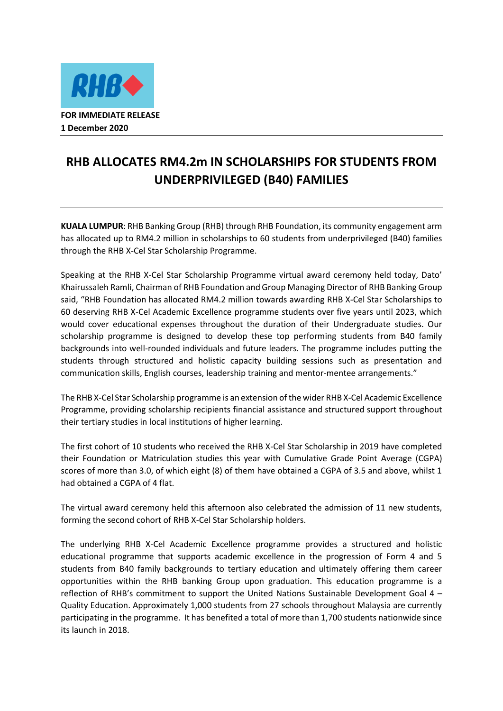

## **RHB ALLOCATES RM4.2m IN SCHOLARSHIPS FOR STUDENTS FROM UNDERPRIVILEGED (B40) FAMILIES**

**KUALA LUMPUR**: RHB Banking Group (RHB) through RHB Foundation, its community engagement arm has allocated up to RM4.2 million in scholarships to 60 students from underprivileged (B40) families through the RHB X-Cel Star Scholarship Programme.

Speaking at the RHB X-Cel Star Scholarship Programme virtual award ceremony held today, Dato' Khairussaleh Ramli, Chairman of RHB Foundation and Group Managing Director of RHB Banking Group said, "RHB Foundation has allocated RM4.2 million towards awarding RHB X-Cel Star Scholarships to 60 deserving RHB X-Cel Academic Excellence programme students over five years until 2023, which would cover educational expenses throughout the duration of their Undergraduate studies. Our scholarship programme is designed to develop these top performing students from B40 family backgrounds into well-rounded individuals and future leaders. The programme includes putting the students through structured and holistic capacity building sessions such as presentation and communication skills, English courses, leadership training and mentor-mentee arrangements."

The RHB X-Cel Star Scholarship programme is an extension of the wider RHB X-Cel Academic Excellence Programme, providing scholarship recipients financial assistance and structured support throughout their tertiary studies in local institutions of higher learning.

The first cohort of 10 students who received the RHB X-Cel Star Scholarship in 2019 have completed their Foundation or Matriculation studies this year with Cumulative Grade Point Average (CGPA) scores of more than 3.0, of which eight (8) of them have obtained a CGPA of 3.5 and above, whilst 1 had obtained a CGPA of 4 flat.

The virtual award ceremony held this afternoon also celebrated the admission of 11 new students, forming the second cohort of RHB X-Cel Star Scholarship holders.

The underlying RHB X-Cel Academic Excellence programme provides a structured and holistic educational programme that supports academic excellence in the progression of Form 4 and 5 students from B40 family backgrounds to tertiary education and ultimately offering them career opportunities within the RHB banking Group upon graduation. This education programme is a reflection of RHB's commitment to support the United Nations Sustainable Development Goal 4 – Quality Education. Approximately 1,000 students from 27 schools throughout Malaysia are currently participating in the programme. It has benefited a total of more than 1,700 students nationwide since its launch in 2018.